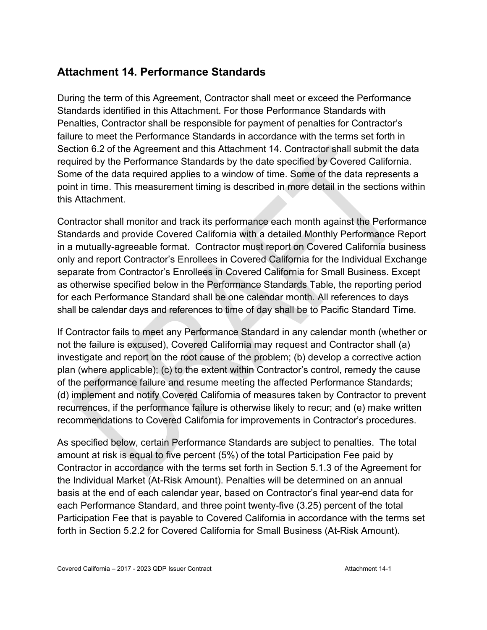#### **Attachment 14. Performance Standards**

During the term of this Agreement, Contractor shall meet or exceed the Performance Standards identified in this Attachment. For those Performance Standards with Penalties, Contractor shall be responsible for payment of penalties for Contractor's failure to meet the Performance Standards in accordance with the terms set forth in Section 6.2 of the Agreement and this Attachment 14. Contractor shall submit the data required by the Performance Standards by the date specified by Covered California. Some of the data required applies to a window of time. Some of the data represents a point in time. This measurement timing is described in more detail in the sections within this Attachment.

Contractor shall monitor and track its performance each month against the Performance Standards and provide Covered California with a detailed Monthly Performance Report in a mutually-agreeable format. Contractor must report on Covered California business only and report Contractor's Enrollees in Covered California for the Individual Exchange separate from Contractor's Enrollees in Covered California for Small Business. Except as otherwise specified below in the Performance Standards Table, the reporting period for each Performance Standard shall be one calendar month. All references to days shall be calendar days and references to time of day shall be to Pacific Standard Time.

If Contractor fails to meet any Performance Standard in any calendar month (whether or not the failure is excused), Covered California may request and Contractor shall (a) investigate and report on the root cause of the problem; (b) develop a corrective action plan (where applicable); (c) to the extent within Contractor's control, remedy the cause of the performance failure and resume meeting the affected Performance Standards; (d) implement and notify Covered California of measures taken by Contractor to prevent recurrences, if the performance failure is otherwise likely to recur; and (e) make written recommendations to Covered California for improvements in Contractor's procedures.

As specified below, certain Performance Standards are subject to penalties. The total amount at risk is equal to five percent (5%) of the total Participation Fee paid by Contractor in accordance with the terms set forth in Section 5.1.3 of the Agreement for the Individual Market (At-Risk Amount). Penalties will be determined on an annual basis at the end of each calendar year, based on Contractor's final year-end data for each Performance Standard, and three point twenty-five (3.25) percent of the total Participation Fee that is payable to Covered California in accordance with the terms set forth in Section 5.2.2 for Covered California for Small Business (At-Risk Amount).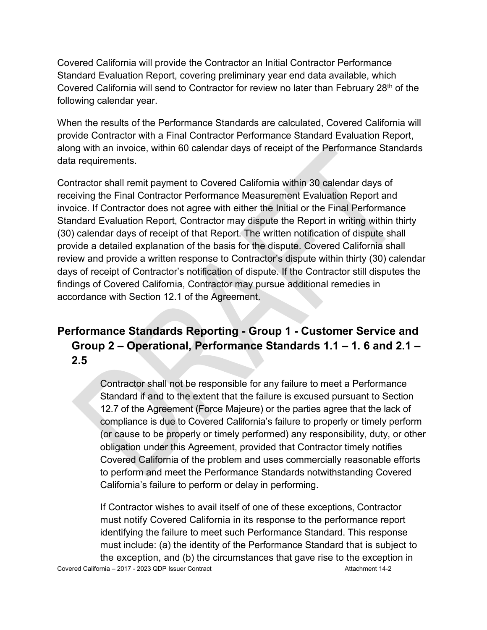Covered California will provide the Contractor an Initial Contractor Performance Standard Evaluation Report, covering preliminary year end data available, which Covered California will send to Contractor for review no later than February 28<sup>th</sup> of the following calendar year.

When the results of the Performance Standards are calculated, Covered California will provide Contractor with a Final Contractor Performance Standard Evaluation Report, along with an invoice, within 60 calendar days of receipt of the Performance Standards data requirements.

Contractor shall remit payment to Covered California within 30 calendar days of receiving the Final Contractor Performance Measurement Evaluation Report and invoice. If Contractor does not agree with either the Initial or the Final Performance Standard Evaluation Report, Contractor may dispute the Report in writing within thirty (30) calendar days of receipt of that Report. The written notification of dispute shall provide a detailed explanation of the basis for the dispute. Covered California shall review and provide a written response to Contractor's dispute within thirty (30) calendar days of receipt of Contractor's notification of dispute. If the Contractor still disputes the findings of Covered California, Contractor may pursue additional remedies in accordance with Section 12.1 of the Agreement.

# **Performance Standards Reporting - Group 1 - Customer Service and Group 2 – Operational, Performance Standards 1.1 – 1. 6 and 2.1 – 2.5**

Contractor shall not be responsible for any failure to meet a Performance Standard if and to the extent that the failure is excused pursuant to Section 12.7 of the Agreement (Force Majeure) or the parties agree that the lack of compliance is due to Covered California's failure to properly or timely perform (or cause to be properly or timely performed) any responsibility, duty, or other obligation under this Agreement, provided that Contractor timely notifies Covered California of the problem and uses commercially reasonable efforts to perform and meet the Performance Standards notwithstanding Covered California's failure to perform or delay in performing.

Covered California – 2017 - 2023 QDP Issuer Contract Attachment 14-2 If Contractor wishes to avail itself of one of these exceptions, Contractor must notify Covered California in its response to the performance report identifying the failure to meet such Performance Standard. This response must include: (a) the identity of the Performance Standard that is subject to the exception, and (b) the circumstances that gave rise to the exception in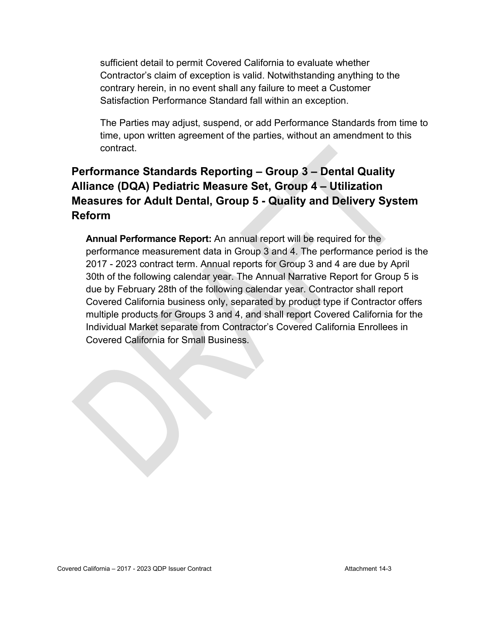sufficient detail to permit Covered California to evaluate whether Contractor's claim of exception is valid. Notwithstanding anything to the contrary herein, in no event shall any failure to meet a Customer Satisfaction Performance Standard fall within an exception.

The Parties may adjust, suspend, or add Performance Standards from time to time, upon written agreement of the parties, without an amendment to this contract.

#### **Performance Standards Reporting – Group 3 – Dental Quality Alliance (DQA) Pediatric Measure Set, Group 4 – Utilization Measures for Adult Dental, Group 5 - Quality and Delivery System Reform**

**Annual Performance Report:** An annual report will be required for the performance measurement data in Group 3 and 4. The performance period is the 2017 - 2023 contract term. Annual reports for Group 3 and 4 are due by April 30th of the following calendar year. The Annual Narrative Report for Group 5 is due by February 28th of the following calendar year. Contractor shall report Covered California business only, separated by product type if Contractor offers multiple products for Groups 3 and 4, and shall report Covered California for the Individual Market separate from Contractor's Covered California Enrollees in Covered California for Small Business.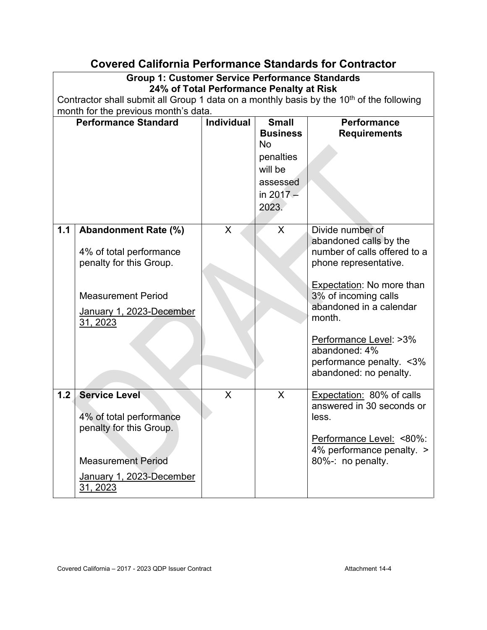#### **Covered California Performance Standards for Contractor**

#### **Group 1: Customer Service Performance Standards 24% of Total Performance Penalty at Risk**  Contractor shall submit all Group 1 data on a monthly basis by the 10<sup>th</sup> of the following

month for the previous month's data.

|       | <b>Performance Standard</b>                                                                                                                            | <b>Individual</b>       | <b>Small</b><br><b>Business</b><br>No<br>penalties<br>will be<br>assessed<br>in $2017 -$<br>2023. | <b>Performance</b><br><b>Requirements</b>                                                                                                                                                                                                                                                              |
|-------|--------------------------------------------------------------------------------------------------------------------------------------------------------|-------------------------|---------------------------------------------------------------------------------------------------|--------------------------------------------------------------------------------------------------------------------------------------------------------------------------------------------------------------------------------------------------------------------------------------------------------|
| $1.1$ | <b>Abandonment Rate (%)</b><br>4% of total performance<br>penalty for this Group.<br><b>Measurement Period</b><br>January 1, 2023-December<br>31, 2023 | X                       | X                                                                                                 | Divide number of<br>abandoned calls by the<br>number of calls offered to a<br>phone representative.<br><b>Expectation: No more than</b><br>3% of incoming calls<br>abandoned in a calendar<br>month.<br>Performance Level: >3%<br>abandoned: 4%<br>performance penalty. < 3%<br>abandoned: no penalty. |
| 1.2   | <b>Service Level</b><br>4% of total performance<br>penalty for this Group.<br><b>Measurement Period</b><br>January 1, 2023-December<br>31, 2023        | $\overline{\mathsf{X}}$ | $\mathsf{X}$                                                                                      | Expectation: 80% of calls<br>answered in 30 seconds or<br>less.<br>Performance Level: <80%:<br>4% performance penalty. ><br>80%-: no penalty.                                                                                                                                                          |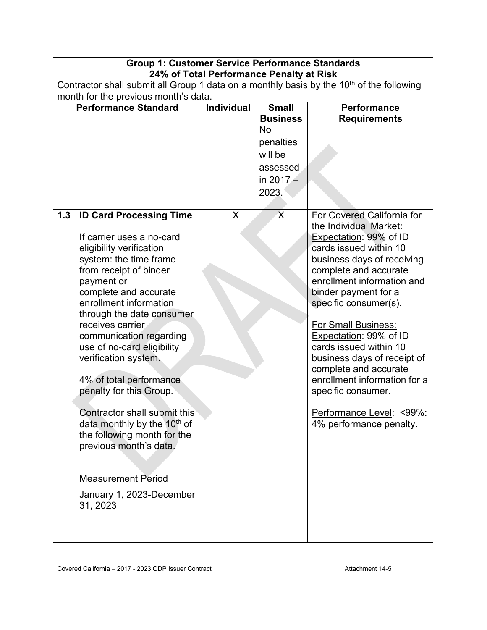|     | <b>Group 1: Customer Service Performance Standards</b>                                                                                                                                                                                                                                                                                                                                                                                                                                                                                                                                                        |                   |                                                                                                          |                                                                                                                                                                                                                                                                                                                                                                                                                                                                                                              |  |  |  |
|-----|---------------------------------------------------------------------------------------------------------------------------------------------------------------------------------------------------------------------------------------------------------------------------------------------------------------------------------------------------------------------------------------------------------------------------------------------------------------------------------------------------------------------------------------------------------------------------------------------------------------|-------------------|----------------------------------------------------------------------------------------------------------|--------------------------------------------------------------------------------------------------------------------------------------------------------------------------------------------------------------------------------------------------------------------------------------------------------------------------------------------------------------------------------------------------------------------------------------------------------------------------------------------------------------|--|--|--|
|     | 24% of Total Performance Penalty at Risk                                                                                                                                                                                                                                                                                                                                                                                                                                                                                                                                                                      |                   |                                                                                                          |                                                                                                                                                                                                                                                                                                                                                                                                                                                                                                              |  |  |  |
|     | Contractor shall submit all Group 1 data on a monthly basis by the 10 <sup>th</sup> of the following<br>month for the previous month's data.                                                                                                                                                                                                                                                                                                                                                                                                                                                                  |                   |                                                                                                          |                                                                                                                                                                                                                                                                                                                                                                                                                                                                                                              |  |  |  |
|     | <b>Performance Standard</b>                                                                                                                                                                                                                                                                                                                                                                                                                                                                                                                                                                                   | <b>Individual</b> | <b>Small</b><br><b>Business</b><br><b>No</b><br>penalties<br>will be<br>assessed<br>in $2017 -$<br>2023. | <b>Performance</b><br><b>Requirements</b>                                                                                                                                                                                                                                                                                                                                                                                                                                                                    |  |  |  |
| 1.3 | <b>ID Card Processing Time</b><br>If carrier uses a no-card<br>eligibility verification<br>system: the time frame<br>from receipt of binder<br>payment or<br>complete and accurate<br>enrollment information<br>through the date consumer<br>receives carrier<br>communication regarding<br>use of no-card eligibility<br>verification system.<br>4% of total performance<br>penalty for this Group.<br>Contractor shall submit this<br>data monthly by the 10 <sup>th</sup> of<br>the following month for the<br>previous month's data.<br><b>Measurement Period</b><br>January 1, 2023-December<br>31, 2023 | X                 | $\overline{\mathsf{X}}$                                                                                  | <b>For Covered California for</b><br>the Individual Market:<br>Expectation: 99% of ID<br>cards issued within 10<br>business days of receiving<br>complete and accurate<br>enrollment information and<br>binder payment for a<br>specific consumer(s).<br><b>For Small Business:</b><br>Expectation: 99% of ID<br>cards issued within 10<br>business days of receipt of<br>complete and accurate<br>enrollment information for a<br>specific consumer.<br>Performance Level: <99%:<br>4% performance penalty. |  |  |  |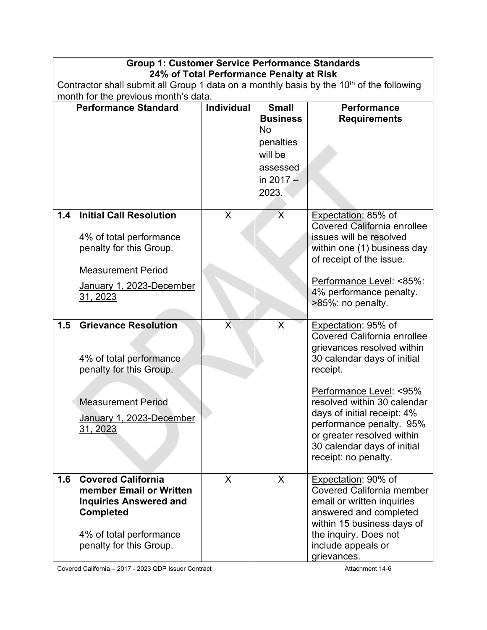|                                      | <b>Group 1: Customer Service Performance Standards</b>                                                                                                          |                   |                                                           |                                                                                                                                                                                                                                                                                                                                              |  |  |  |
|--------------------------------------|-----------------------------------------------------------------------------------------------------------------------------------------------------------------|-------------------|-----------------------------------------------------------|----------------------------------------------------------------------------------------------------------------------------------------------------------------------------------------------------------------------------------------------------------------------------------------------------------------------------------------------|--|--|--|
|                                      | 24% of Total Performance Penalty at Risk<br>Contractor shall submit all Group 1 data on a monthly basis by the 10 <sup>th</sup> of the following                |                   |                                                           |                                                                                                                                                                                                                                                                                                                                              |  |  |  |
| month for the previous month's data. |                                                                                                                                                                 |                   |                                                           |                                                                                                                                                                                                                                                                                                                                              |  |  |  |
| <b>Performance Standard</b>          |                                                                                                                                                                 | <b>Individual</b> | <b>Small</b><br><b>Business</b><br><b>No</b><br>penalties | <b>Performance</b><br><b>Requirements</b>                                                                                                                                                                                                                                                                                                    |  |  |  |
|                                      |                                                                                                                                                                 |                   | will be<br>assessed<br>in $2017 -$<br>2023.               |                                                                                                                                                                                                                                                                                                                                              |  |  |  |
| 1.4                                  | <b>Initial Call Resolution</b><br>4% of total performance<br>penalty for this Group.<br><b>Measurement Period</b><br>January 1, 2023-December<br>31, 2023       | X                 | $\overline{X}$                                            | Expectation: 85% of<br>Covered California enrollee<br>issues will be resolved<br>within one (1) business day<br>of receipt of the issue.<br>Performance Level: <85%:<br>4% performance penalty.<br>>85%: no penalty.                                                                                                                         |  |  |  |
| 1.5                                  | <b>Grievance Resolution</b><br>4% of total performance<br>penalty for this Group.<br><b>Measurement Period</b><br>January 1, 2023-December<br>31, 2023          | $\sf X$           | $\mathsf{X}$                                              | Expectation: 95% of<br><b>Covered California enrollee</b><br>grievances resolved within<br>30 calendar days of initial<br>receipt.<br>Performance Level: <95%<br>resolved within 30 calendar<br>days of initial receipt: 4%<br>performance penalty. 95%<br>or greater resolved within<br>30 calendar days of initial<br>receipt: no penalty. |  |  |  |
| 1.6                                  | <b>Covered California</b><br>member Email or Written<br><b>Inquiries Answered and</b><br><b>Completed</b><br>4% of total performance<br>penalty for this Group. | X                 | X                                                         | Expectation: 90% of<br><b>Covered California member</b><br>email or written inquiries<br>answered and completed<br>within 15 business days of<br>the inquiry. Does not<br>include appeals or<br>grievances.                                                                                                                                  |  |  |  |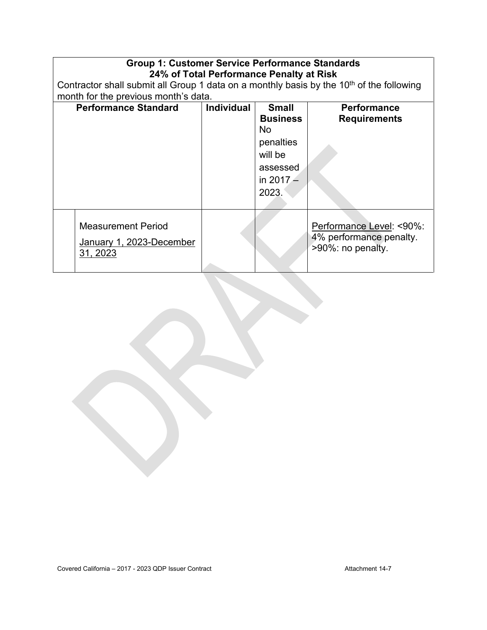| <b>Group 1: Customer Service Performance Standards</b><br>24% of Total Performance Penalty at Risk   |                   |                                                                                                    |                                                                          |  |  |
|------------------------------------------------------------------------------------------------------|-------------------|----------------------------------------------------------------------------------------------------|--------------------------------------------------------------------------|--|--|
| Contractor shall submit all Group 1 data on a monthly basis by the 10 <sup>th</sup> of the following |                   |                                                                                                    |                                                                          |  |  |
| month for the previous month's data.                                                                 |                   |                                                                                                    |                                                                          |  |  |
| <b>Performance Standard</b>                                                                          | <b>Individual</b> | <b>Small</b><br><b>Business</b><br>No.<br>penalties<br>will be<br>assessed<br>in $2017 -$<br>2023. | <b>Performance</b><br><b>Requirements</b>                                |  |  |
| <b>Measurement Period</b><br>January 1, 2023-December<br>31, 2023                                    |                   |                                                                                                    | Performance Level: <90%:<br>4% performance penalty.<br>>90%: no penalty. |  |  |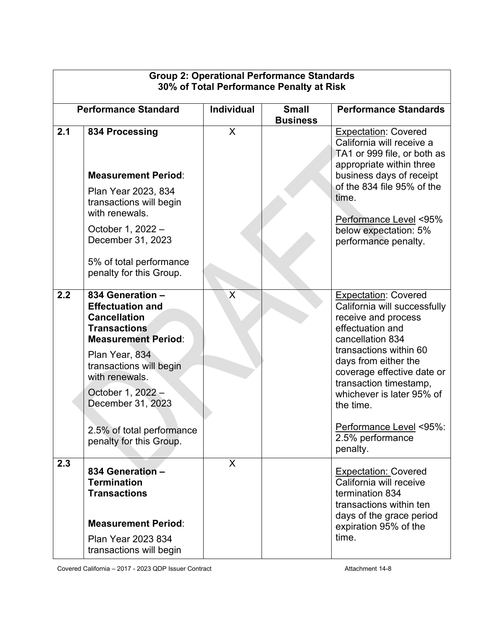| <b>Group 2: Operational Performance Standards</b><br>30% of Total Performance Penalty at Risk |                                                                                                                                                                                                                                                                                          |                   |                                 |                                                                                                                                                                                                                                                                                                                                           |  |
|-----------------------------------------------------------------------------------------------|------------------------------------------------------------------------------------------------------------------------------------------------------------------------------------------------------------------------------------------------------------------------------------------|-------------------|---------------------------------|-------------------------------------------------------------------------------------------------------------------------------------------------------------------------------------------------------------------------------------------------------------------------------------------------------------------------------------------|--|
|                                                                                               | <b>Performance Standard</b>                                                                                                                                                                                                                                                              | <b>Individual</b> | <b>Small</b><br><b>Business</b> | <b>Performance Standards</b>                                                                                                                                                                                                                                                                                                              |  |
| 2.1                                                                                           | 834 Processing                                                                                                                                                                                                                                                                           | X                 |                                 | <b>Expectation: Covered</b><br>California will receive a<br>TA1 or 999 file, or both as<br>appropriate within three                                                                                                                                                                                                                       |  |
|                                                                                               | <b>Measurement Period:</b>                                                                                                                                                                                                                                                               |                   |                                 | business days of receipt                                                                                                                                                                                                                                                                                                                  |  |
|                                                                                               | Plan Year 2023, 834<br>transactions will begin<br>with renewals.                                                                                                                                                                                                                         |                   |                                 | of the 834 file 95% of the<br>time.                                                                                                                                                                                                                                                                                                       |  |
|                                                                                               | October 1, 2022 -<br>December 31, 2023                                                                                                                                                                                                                                                   |                   |                                 | Performance Level <95%<br>below expectation: 5%<br>performance penalty.                                                                                                                                                                                                                                                                   |  |
|                                                                                               | 5% of total performance<br>penalty for this Group.                                                                                                                                                                                                                                       |                   |                                 |                                                                                                                                                                                                                                                                                                                                           |  |
| 2.2                                                                                           | 834 Generation -<br><b>Effectuation and</b><br><b>Cancellation</b><br><b>Transactions</b><br><b>Measurement Period:</b><br>Plan Year, 834<br>transactions will begin<br>with renewals.<br>October 1, 2022 -<br>December 31, 2023<br>2.5% of total performance<br>penalty for this Group. | $\sf X$           |                                 | <b>Expectation: Covered</b><br>California will successfully<br>receive and process<br>effectuation and<br>cancellation 834<br>transactions within 60<br>days from either the<br>coverage effective date or<br>transaction timestamp,<br>whichever is later 95% of<br>the time.<br>Performance Level <95%:<br>2.5% performance<br>penalty. |  |
| 2.3                                                                                           | 834 Generation -<br><b>Termination</b><br><b>Transactions</b><br><b>Measurement Period:</b><br><b>Plan Year 2023 834</b><br>transactions will begin                                                                                                                                      | $\sf X$           |                                 | <b>Expectation: Covered</b><br>California will receive<br>termination 834<br>transactions within ten<br>days of the grace period<br>expiration 95% of the<br>time.                                                                                                                                                                        |  |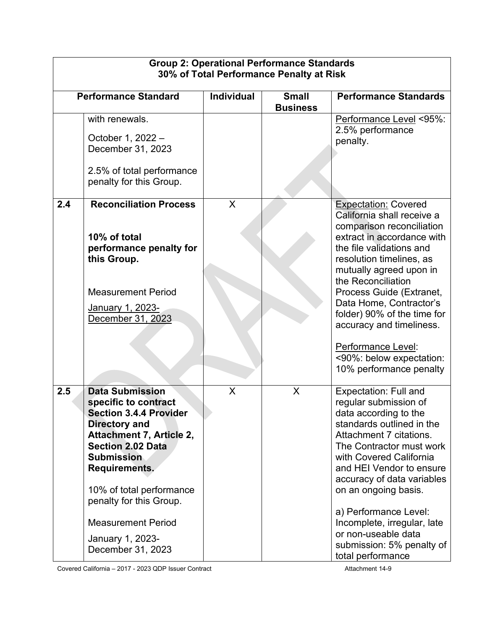| <b>Group 2: Operational Performance Standards</b><br>30% of Total Performance Penalty at Risk |                                                                                                                                                                                                                                                                                                                                    |            |                                 |                                                                                                                                                                                                                                                                                                                                                                                                                              |  |
|-----------------------------------------------------------------------------------------------|------------------------------------------------------------------------------------------------------------------------------------------------------------------------------------------------------------------------------------------------------------------------------------------------------------------------------------|------------|---------------------------------|------------------------------------------------------------------------------------------------------------------------------------------------------------------------------------------------------------------------------------------------------------------------------------------------------------------------------------------------------------------------------------------------------------------------------|--|
|                                                                                               | <b>Performance Standard</b>                                                                                                                                                                                                                                                                                                        | Individual | <b>Small</b><br><b>Business</b> | <b>Performance Standards</b>                                                                                                                                                                                                                                                                                                                                                                                                 |  |
|                                                                                               | with renewals.<br>October 1, 2022 -<br>December 31, 2023<br>2.5% of total performance<br>penalty for this Group.                                                                                                                                                                                                                   |            |                                 | Performance Level <95%:<br>2.5% performance<br>penalty.                                                                                                                                                                                                                                                                                                                                                                      |  |
| 2.4                                                                                           | <b>Reconciliation Process</b><br>10% of total<br>performance penalty for<br>this Group.<br><b>Measurement Period</b><br>January 1, 2023-<br>December 31, 2023                                                                                                                                                                      | X          |                                 | <b>Expectation: Covered</b><br>California shall receive a<br>comparison reconciliation<br>extract in accordance with<br>the file validations and<br>resolution timelines, as<br>mutually agreed upon in<br>the Reconciliation<br>Process Guide (Extranet,<br>Data Home, Contractor's<br>folder) 90% of the time for<br>accuracy and timeliness.<br>Performance Level:<br><90%: below expectation:<br>10% performance penalty |  |
| 2.5                                                                                           | <b>Data Submission</b><br>specific to contract<br><b>Section 3.4.4 Provider</b><br><b>Directory and</b><br>Attachment 7, Article 2,<br><b>Section 2.02 Data</b><br><b>Submission</b><br>Requirements.<br>10% of total performance<br>penalty for this Group.<br><b>Measurement Period</b><br>January 1, 2023-<br>December 31, 2023 | X          | X                               | <b>Expectation: Full and</b><br>regular submission of<br>data according to the<br>standards outlined in the<br>Attachment 7 citations.<br>The Contractor must work<br>with Covered California<br>and HEI Vendor to ensure<br>accuracy of data variables<br>on an ongoing basis.<br>a) Performance Level:<br>Incomplete, irregular, late<br>or non-useable data<br>submission: 5% penalty of<br>total performance             |  |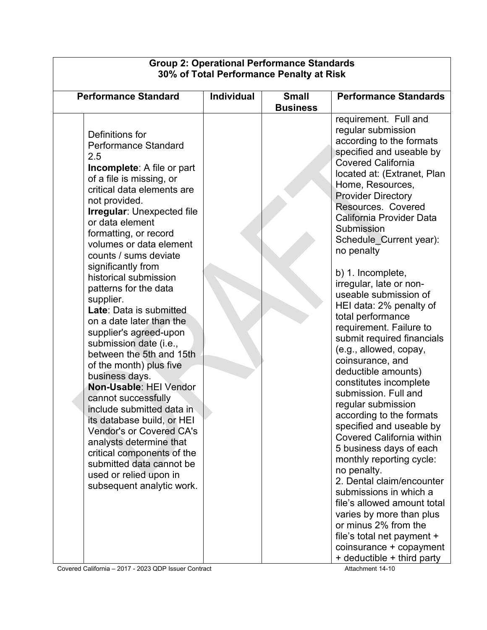| 30% of Total Performance Penalty at Risk                                                                                                                                                                                                                                                                                                                                                                                                                                                                                                                                                                                                                                                                                                                                                                                                                                       |                   |                                 |                                                                                                                                                                                                                                                                                                                                                                                                                                                                                                                                                                                                                                                                                                                                                                                                                                                                                                                                                                                                                                                             |  |  |
|--------------------------------------------------------------------------------------------------------------------------------------------------------------------------------------------------------------------------------------------------------------------------------------------------------------------------------------------------------------------------------------------------------------------------------------------------------------------------------------------------------------------------------------------------------------------------------------------------------------------------------------------------------------------------------------------------------------------------------------------------------------------------------------------------------------------------------------------------------------------------------|-------------------|---------------------------------|-------------------------------------------------------------------------------------------------------------------------------------------------------------------------------------------------------------------------------------------------------------------------------------------------------------------------------------------------------------------------------------------------------------------------------------------------------------------------------------------------------------------------------------------------------------------------------------------------------------------------------------------------------------------------------------------------------------------------------------------------------------------------------------------------------------------------------------------------------------------------------------------------------------------------------------------------------------------------------------------------------------------------------------------------------------|--|--|
| <b>Performance Standard</b>                                                                                                                                                                                                                                                                                                                                                                                                                                                                                                                                                                                                                                                                                                                                                                                                                                                    | <b>Individual</b> | <b>Small</b><br><b>Business</b> | <b>Performance Standards</b>                                                                                                                                                                                                                                                                                                                                                                                                                                                                                                                                                                                                                                                                                                                                                                                                                                                                                                                                                                                                                                |  |  |
| Definitions for<br><b>Performance Standard</b><br>2.5<br><b>Incomplete:</b> A file or part<br>of a file is missing, or<br>critical data elements are<br>not provided.<br><b>Irregular: Unexpected file</b><br>or data element<br>formatting, or record<br>volumes or data element<br>counts / sums deviate<br>significantly from<br>historical submission<br>patterns for the data<br>supplier.<br>Late: Data is submitted<br>on a date later than the<br>supplier's agreed-upon<br>submission date (i.e.,<br>between the 5th and 15th<br>of the month) plus five<br>business days.<br>Non-Usable: HEI Vendor<br>cannot successfully<br>include submitted data in<br>its database build, or HEI<br><b>Vendor's or Covered CA's</b><br>analysts determine that<br>critical components of the<br>submitted data cannot be<br>used or relied upon in<br>subsequent analytic work. |                   |                                 | requirement. Full and<br>regular submission<br>according to the formats<br>specified and useable by<br><b>Covered California</b><br>located at: (Extranet, Plan<br>Home, Resources,<br><b>Provider Directory</b><br>Resources. Covered<br>California Provider Data<br>Submission<br>Schedule_Current year):<br>no penalty<br>b) 1. Incomplete,<br>irregular, late or non-<br>useable submission of<br>HEI data: 2% penalty of<br>total performance<br>requirement. Failure to<br>submit required financials<br>(e.g., allowed, copay,<br>coinsurance, and<br>deductible amounts)<br>constitutes incomplete<br>submission. Full and<br>regular submission<br>according to the formats<br>specified and useable by<br><b>Covered California within</b><br>5 business days of each<br>monthly reporting cycle:<br>no penalty.<br>2. Dental claim/encounter<br>submissions in which a<br>file's allowed amount total<br>varies by more than plus<br>or minus 2% from the<br>file's total net payment +<br>coinsurance + copayment<br>+ deductible + third party |  |  |

# **Group 2: Operational Performance Standards**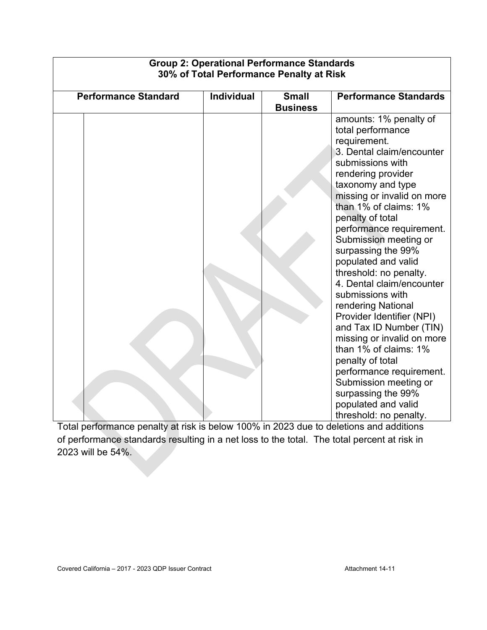| <b>Group 2: Operational Performance Standards</b><br>30% of Total Performance Penalty at Risk |                   |                                 |                                                                                                                                                                                                                                                                                                                                                                                                                                                                                                                                                                                                                                                                                                      |  |
|-----------------------------------------------------------------------------------------------|-------------------|---------------------------------|------------------------------------------------------------------------------------------------------------------------------------------------------------------------------------------------------------------------------------------------------------------------------------------------------------------------------------------------------------------------------------------------------------------------------------------------------------------------------------------------------------------------------------------------------------------------------------------------------------------------------------------------------------------------------------------------------|--|
| <b>Performance Standard</b>                                                                   | <b>Individual</b> | <b>Small</b><br><b>Business</b> | <b>Performance Standards</b>                                                                                                                                                                                                                                                                                                                                                                                                                                                                                                                                                                                                                                                                         |  |
|                                                                                               |                   |                                 | amounts: 1% penalty of<br>total performance<br>requirement.<br>3. Dental claim/encounter<br>submissions with<br>rendering provider<br>taxonomy and type<br>missing or invalid on more<br>than 1% of claims: 1%<br>penalty of total<br>performance requirement.<br>Submission meeting or<br>surpassing the 99%<br>populated and valid<br>threshold: no penalty.<br>4. Dental claim/encounter<br>submissions with<br>rendering National<br>Provider Identifier (NPI)<br>and Tax ID Number (TIN)<br>missing or invalid on more<br>than 1% of claims: 1%<br>penalty of total<br>performance requirement.<br>Submission meeting or<br>surpassing the 99%<br>populated and valid<br>threshold: no penalty. |  |

#### Total performance penalty at risk is below 100% in 2023 due to deletions and additions of performance standards resulting in a net loss to the total. The total percent at risk in 2023 will be 54%.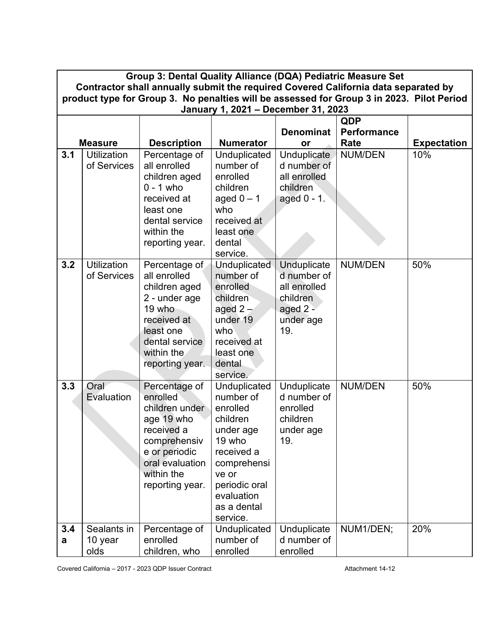|          | Group 3: Dental Quality Alliance (DQA) Pediatric Measure Set                                                                                                                    |                                                                                                                                                              |                                                                                                                                                                          |                                                                                               |                |                    |  |  |
|----------|---------------------------------------------------------------------------------------------------------------------------------------------------------------------------------|--------------------------------------------------------------------------------------------------------------------------------------------------------------|--------------------------------------------------------------------------------------------------------------------------------------------------------------------------|-----------------------------------------------------------------------------------------------|----------------|--------------------|--|--|
|          | Contractor shall annually submit the required Covered California data separated by<br>product type for Group 3. No penalties will be assessed for Group 3 in 2023. Pilot Period |                                                                                                                                                              |                                                                                                                                                                          |                                                                                               |                |                    |  |  |
|          |                                                                                                                                                                                 |                                                                                                                                                              | January 1, 2021 - December 31, 2023                                                                                                                                      |                                                                                               |                |                    |  |  |
|          |                                                                                                                                                                                 |                                                                                                                                                              |                                                                                                                                                                          |                                                                                               | QDP            |                    |  |  |
|          |                                                                                                                                                                                 |                                                                                                                                                              |                                                                                                                                                                          | <b>Denominat</b>                                                                              | Performance    |                    |  |  |
|          | <b>Measure</b>                                                                                                                                                                  | <b>Description</b>                                                                                                                                           | <b>Numerator</b>                                                                                                                                                         | or                                                                                            | Rate           | <b>Expectation</b> |  |  |
| 3.1      | <b>Utilization</b><br>of Services                                                                                                                                               | Percentage of<br>all enrolled<br>children aged<br>$0 - 1$ who<br>received at<br>least one<br>dental service<br>within the<br>reporting year.                 | Unduplicated<br>number of<br>enrolled<br>children<br>aged $0 - 1$<br>who<br>received at<br>least one<br>dental<br>service.                                               | Unduplicate<br>d number of<br>all enrolled<br>children<br>aged 0 - 1.                         | <b>NUM/DEN</b> | 10%                |  |  |
| 3.2      | <b>Utilization</b><br>of Services                                                                                                                                               | Percentage of<br>all enrolled<br>children aged<br>2 - under age<br>19 who<br>received at<br>least one<br>dental service<br>within the<br>reporting year.     | <b>Unduplicated</b><br>number of<br>enrolled<br>children<br>aged $2-$<br>under 19<br>who<br>received at<br>least one<br>dental<br>service.                               | <b>Unduplicate</b><br>d number of<br>all enrolled<br>children<br>aged 2 -<br>under age<br>19. | <b>NUM/DEN</b> | 50%                |  |  |
| 3.3      | Oral<br>Evaluation                                                                                                                                                              | Percentage of<br>enrolled<br>children under<br>age 19 who<br>received a<br>comprehensiv<br>e or periodic<br>oral evaluation<br>within the<br>reporting year. | Unduplicated<br>number of<br>enrolled<br>children<br>under age<br>19 who<br>received a<br>comprehensi<br>ve or<br>periodic oral<br>evaluation<br>as a dental<br>service. | Unduplicate<br>d number of<br>enrolled<br>children<br>under age<br>19.                        | <b>NUM/DEN</b> | 50%                |  |  |
| 3.4<br>a | Sealants in<br>10 year<br>olds                                                                                                                                                  | Percentage of<br>enrolled<br>children, who                                                                                                                   | Unduplicated<br>number of<br>enrolled                                                                                                                                    | Unduplicate<br>d number of<br>enrolled                                                        | NUM1/DEN;      | 20%                |  |  |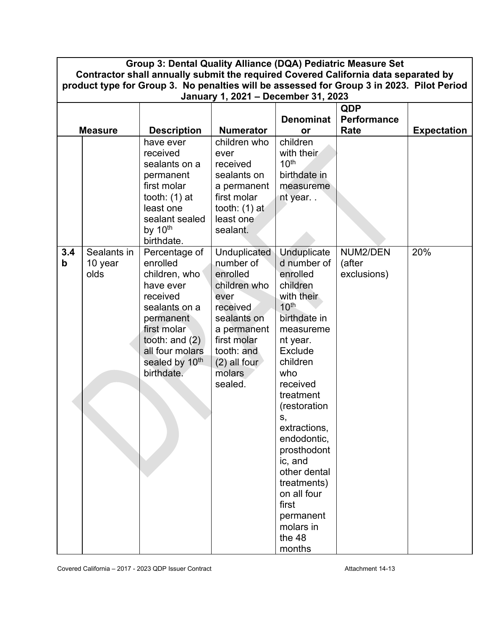| Group 3: Dental Quality Alliance (DQA) Pediatric Measure Set<br>Contractor shall annually submit the required Covered California data separated by<br>product type for Group 3. No penalties will be assessed for Group 3 in 2023. Pilot Period<br>January 1, 2021 - December 31, 2023 |                                |                                                                                                                                                                                                     |                                                                                                                                                                                    |                                                                                                                                                                                               |                                   |                    |
|----------------------------------------------------------------------------------------------------------------------------------------------------------------------------------------------------------------------------------------------------------------------------------------|--------------------------------|-----------------------------------------------------------------------------------------------------------------------------------------------------------------------------------------------------|------------------------------------------------------------------------------------------------------------------------------------------------------------------------------------|-----------------------------------------------------------------------------------------------------------------------------------------------------------------------------------------------|-----------------------------------|--------------------|
|                                                                                                                                                                                                                                                                                        |                                |                                                                                                                                                                                                     |                                                                                                                                                                                    |                                                                                                                                                                                               |                                   |                    |
|                                                                                                                                                                                                                                                                                        |                                |                                                                                                                                                                                                     |                                                                                                                                                                                    |                                                                                                                                                                                               | QDP                               |                    |
|                                                                                                                                                                                                                                                                                        | <b>Measure</b>                 |                                                                                                                                                                                                     | <b>Numerator</b>                                                                                                                                                                   | <b>Denominat</b>                                                                                                                                                                              | <b>Performance</b><br>Rate        |                    |
|                                                                                                                                                                                                                                                                                        |                                | <b>Description</b><br>have ever                                                                                                                                                                     | children who                                                                                                                                                                       | <b>or</b><br>children                                                                                                                                                                         |                                   | <b>Expectation</b> |
|                                                                                                                                                                                                                                                                                        |                                | received<br>sealants on a<br>permanent                                                                                                                                                              | ever<br>received<br>sealants on                                                                                                                                                    | with their<br>10 <sup>th</sup><br>birthdate in                                                                                                                                                |                                   |                    |
|                                                                                                                                                                                                                                                                                        |                                | first molar                                                                                                                                                                                         | a permanent                                                                                                                                                                        | measureme                                                                                                                                                                                     |                                   |                    |
|                                                                                                                                                                                                                                                                                        |                                | tooth: $(1)$ at                                                                                                                                                                                     | first molar                                                                                                                                                                        | nt year                                                                                                                                                                                       |                                   |                    |
|                                                                                                                                                                                                                                                                                        |                                | least one<br>sealant sealed                                                                                                                                                                         | tooth: $(1)$ at<br>least one                                                                                                                                                       |                                                                                                                                                                                               |                                   |                    |
|                                                                                                                                                                                                                                                                                        |                                | by 10th                                                                                                                                                                                             | sealant.                                                                                                                                                                           |                                                                                                                                                                                               |                                   |                    |
|                                                                                                                                                                                                                                                                                        |                                | birthdate.                                                                                                                                                                                          |                                                                                                                                                                                    |                                                                                                                                                                                               |                                   |                    |
| 3.4<br>$\mathbf b$                                                                                                                                                                                                                                                                     | Sealants in<br>10 year<br>olds | Percentage of<br>enrolled<br>children, who<br>have ever<br>received<br>sealants on a<br>permanent<br>first molar<br>tooth: and $(2)$<br>all four molars<br>sealed by 10 <sup>th</sup><br>birthdate. | <b>Unduplicated</b><br>number of<br>enrolled<br>children who<br>ever<br>received<br>sealants on<br>a permanent<br>first molar<br>tooth: and<br>$(2)$ all four<br>molars<br>sealed. | Unduplicate<br>d number of<br>enrolled<br>children<br>with their<br>10 <sup>th</sup><br>birthdate in<br>measureme<br>nt year.<br>Exclude<br>children<br>who<br>received                       | NUM2/DEN<br>(after<br>exclusions) | 20%                |
|                                                                                                                                                                                                                                                                                        |                                |                                                                                                                                                                                                     |                                                                                                                                                                                    | treatment<br>(restoration<br>S,<br>extractions,<br>endodontic,<br>prosthodont<br>ic, and<br>other dental<br>treatments)<br>on all four<br>first<br>permanent<br>molars in<br>the 48<br>months |                                   |                    |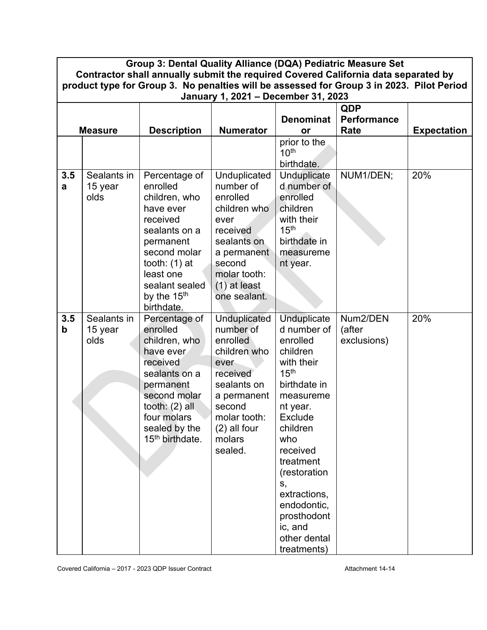|                                                                                  | Group 3: Dental Quality Alliance (DQA) Pediatric Measure Set<br>Contractor shall annually submit the required Covered California data separated by<br>product type for Group 3. No penalties will be assessed for Group 3 in 2023. Pilot Period<br>January 1, 2021 - December 31, 2023 |                                                                                                                                                                                                              |                                                                                                                                                                               |                                                                                                                                                                                                                                                                                                           |                                   |                    |  |  |
|----------------------------------------------------------------------------------|----------------------------------------------------------------------------------------------------------------------------------------------------------------------------------------------------------------------------------------------------------------------------------------|--------------------------------------------------------------------------------------------------------------------------------------------------------------------------------------------------------------|-------------------------------------------------------------------------------------------------------------------------------------------------------------------------------|-----------------------------------------------------------------------------------------------------------------------------------------------------------------------------------------------------------------------------------------------------------------------------------------------------------|-----------------------------------|--------------------|--|--|
| <b>QDP</b><br><b>Denominat</b><br><b>Performance</b><br><b>Numerator</b><br>Rate |                                                                                                                                                                                                                                                                                        |                                                                                                                                                                                                              |                                                                                                                                                                               |                                                                                                                                                                                                                                                                                                           |                                   |                    |  |  |
|                                                                                  | <b>Measure</b>                                                                                                                                                                                                                                                                         | <b>Description</b>                                                                                                                                                                                           |                                                                                                                                                                               | or<br>prior to the<br>10 <sup>th</sup><br>birthdate.                                                                                                                                                                                                                                                      |                                   | <b>Expectation</b> |  |  |
| 3.5<br>a                                                                         | Sealants in<br>15 year<br>olds                                                                                                                                                                                                                                                         | Percentage of<br>enrolled<br>children, who<br>have ever<br>received<br>sealants on a<br>permanent<br>second molar<br>tooth: $(1)$ at<br>least one<br>sealant sealed<br>by the 15 <sup>th</sup><br>birthdate. | Unduplicated<br>number of<br>enrolled<br>children who<br>ever<br>received<br>sealants on<br>a permanent<br>second<br>molar tooth:<br>$(1)$ at least<br>one sealant.           | Unduplicate<br>d number of<br>enrolled<br>children<br>with their<br>15 <sup>th</sup><br>birthdate in<br>measureme<br>nt year.                                                                                                                                                                             | NUM1/DEN;                         | 20%                |  |  |
| 3.5<br>$\mathbf b$                                                               | Sealants in<br>15 year<br>olds                                                                                                                                                                                                                                                         | Percentage of<br>enrolled<br>children, who<br>have ever<br>received<br>sealants on a<br>permanent<br>second molar<br>tooth: $(2)$ all<br>four molars<br>sealed by the<br>15 <sup>th</sup> birthdate.         | <b>Unduplicated</b><br>number of<br>enrolled<br>children who<br>ever<br>received<br>sealants on<br>a permanent<br>second<br>molar tooth:<br>(2) all four<br>molars<br>sealed. | <b>Unduplicate</b><br>d number of<br>enrolled<br>children<br>with their<br>15 <sup>th</sup><br>birthdate in<br>measureme<br>nt year.<br>Exclude<br>children<br>who<br>received<br>treatment<br>(restoration<br>S,<br>extractions,<br>endodontic,<br>prosthodont<br>ic, and<br>other dental<br>treatments) | Num2/DEN<br>(after<br>exclusions) | 20%                |  |  |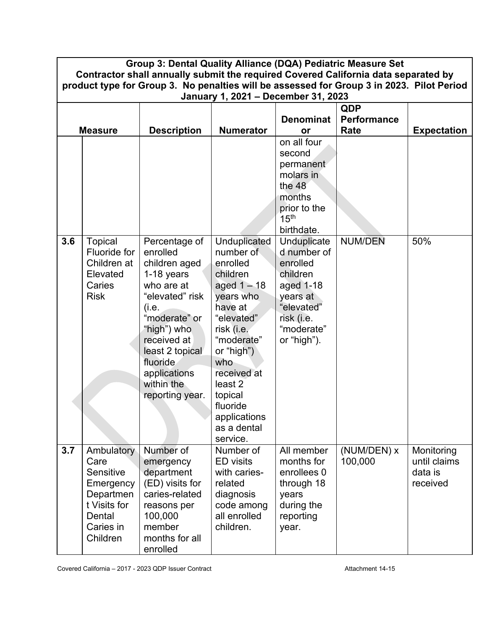|     | Group 3: Dental Quality Alliance (DQA) Pediatric Measure Set<br>Contractor shall annually submit the required Covered California data separated by<br>product type for Group 3. No penalties will be assessed for Group 3 in 2023. Pilot Period |                                                                                                                                                                                                                                   |                                                                                                                                                                                                                                                       |                                                                                                                                      |                        |                                                   |  |  |
|-----|-------------------------------------------------------------------------------------------------------------------------------------------------------------------------------------------------------------------------------------------------|-----------------------------------------------------------------------------------------------------------------------------------------------------------------------------------------------------------------------------------|-------------------------------------------------------------------------------------------------------------------------------------------------------------------------------------------------------------------------------------------------------|--------------------------------------------------------------------------------------------------------------------------------------|------------------------|---------------------------------------------------|--|--|
|     |                                                                                                                                                                                                                                                 |                                                                                                                                                                                                                                   | January 1, 2021 - December 31, 2023                                                                                                                                                                                                                   |                                                                                                                                      |                        |                                                   |  |  |
|     | <b>QDP</b>                                                                                                                                                                                                                                      |                                                                                                                                                                                                                                   |                                                                                                                                                                                                                                                       |                                                                                                                                      |                        |                                                   |  |  |
|     |                                                                                                                                                                                                                                                 |                                                                                                                                                                                                                                   |                                                                                                                                                                                                                                                       | <b>Denominat</b>                                                                                                                     | Performance            |                                                   |  |  |
|     | <b>Measure</b>                                                                                                                                                                                                                                  | <b>Description</b>                                                                                                                                                                                                                | <b>Numerator</b>                                                                                                                                                                                                                                      | <b>or</b>                                                                                                                            | Rate                   | <b>Expectation</b>                                |  |  |
|     |                                                                                                                                                                                                                                                 |                                                                                                                                                                                                                                   |                                                                                                                                                                                                                                                       | on all four<br>second<br>permanent<br>molars in<br>the $48$<br>months<br>prior to the<br>15 <sup>th</sup><br>birthdate.              |                        |                                                   |  |  |
| 3.6 | <b>Topical</b><br>Fluoride for<br>Children at<br>Elevated<br>Caries<br><b>Risk</b>                                                                                                                                                              | Percentage of<br>enrolled<br>children aged<br>1-18 years<br>who are at<br>"elevated" risk<br>(i.e.<br>"moderate" or<br>"high") who<br>received at<br>least 2 topical<br>fluoride<br>applications<br>within the<br>reporting year. | Unduplicated<br>number of<br>enrolled<br>children<br>aged $1 - 18$<br>years who<br>have at<br>"elevated"<br>risk (i.e.<br>"moderate"<br>or "high")<br>who<br>received at<br>least 2<br>topical<br>fluoride<br>applications<br>as a dental<br>service. | Unduplicate<br>d number of<br>enrolled<br>children<br>aged 1-18<br>years at<br>"elevated"<br>risk (i.e.<br>"moderate"<br>or "high"). | <b>NUM/DEN</b>         | 50%                                               |  |  |
| 3.7 | Ambulatory<br>Care<br>Sensitive<br>Emergency<br>Departmen<br>t Visits for<br>Dental<br>Caries in<br>Children                                                                                                                                    | Number of<br>emergency<br>department<br>(ED) visits for<br>caries-related<br>reasons per<br>100,000<br>member<br>months for all<br>enrolled                                                                                       | Number of<br><b>ED</b> visits<br>with caries-<br>related<br>diagnosis<br>code among<br>all enrolled<br>children.                                                                                                                                      | All member<br>months for<br>enrollees 0<br>through 18<br>years<br>during the<br>reporting<br>year.                                   | (NUM/DEN) x<br>100,000 | Monitoring<br>until claims<br>data is<br>received |  |  |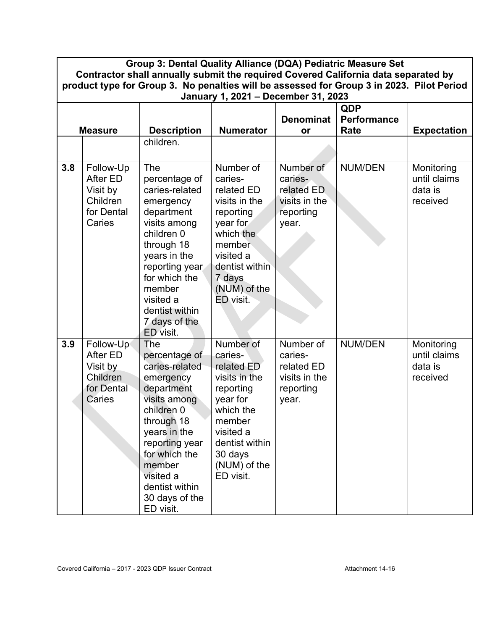| Group 3: Dental Quality Alliance (DQA) Pediatric Measure Set<br>Contractor shall annually submit the required Covered California data separated by<br>product type for Group 3. No penalties will be assessed for Group 3 in 2023. Pilot Period<br>January 1, 2021 - December 31, 2023 |                                                                       |                                                                                                                                                                                                                                          |                                                                                                                                                                            |                                                                           |                                          |                                                   |
|----------------------------------------------------------------------------------------------------------------------------------------------------------------------------------------------------------------------------------------------------------------------------------------|-----------------------------------------------------------------------|------------------------------------------------------------------------------------------------------------------------------------------------------------------------------------------------------------------------------------------|----------------------------------------------------------------------------------------------------------------------------------------------------------------------------|---------------------------------------------------------------------------|------------------------------------------|---------------------------------------------------|
|                                                                                                                                                                                                                                                                                        | <b>Measure</b>                                                        | <b>Description</b>                                                                                                                                                                                                                       | <b>Numerator</b>                                                                                                                                                           | <b>Denominat</b><br>or                                                    | <b>QDP</b><br><b>Performance</b><br>Rate | <b>Expectation</b>                                |
|                                                                                                                                                                                                                                                                                        |                                                                       | children.                                                                                                                                                                                                                                |                                                                                                                                                                            |                                                                           |                                          |                                                   |
| 3.8                                                                                                                                                                                                                                                                                    | Follow-Up<br>After ED<br>Visit by<br>Children<br>for Dental<br>Caries | The<br>percentage of<br>caries-related<br>emergency<br>department<br>visits among<br>children 0<br>through 18<br>years in the<br>reporting year<br>for which the<br>member<br>visited a<br>dentist within<br>7 days of the<br>ED visit.  | Number of<br>caries-<br>related ED<br>visits in the<br>reporting<br>year for<br>which the<br>member<br>visited a<br>dentist within<br>7 days<br>(NUM) of the<br>ED visit.  | Number of<br>caries-<br>related ED<br>visits in the<br>reporting<br>year. | <b>NUM/DEN</b>                           | Monitoring<br>until claims<br>data is<br>received |
| 3.9                                                                                                                                                                                                                                                                                    | Follow-Up<br>After ED<br>Visit by<br>Children<br>for Dental<br>Caries | The<br>percentage of<br>caries-related<br>emergency<br>department<br>visits among<br>children 0<br>through 18<br>years in the<br>reporting year<br>for which the<br>member<br>visited a<br>dentist within<br>30 days of the<br>ED visit. | Number of<br>caries-<br>related ED<br>visits in the<br>reporting<br>year for<br>which the<br>member<br>visited a<br>dentist within<br>30 days<br>(NUM) of the<br>ED visit. | Number of<br>caries-<br>related ED<br>visits in the<br>reporting<br>year. | <b>NUM/DEN</b>                           | Monitoring<br>until claims<br>data is<br>received |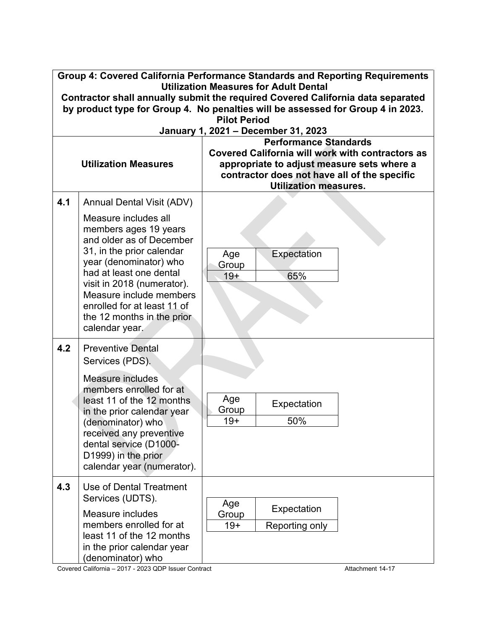|     | Group 4: Covered California Performance Standards and Reporting Requirements<br><b>Utilization Measures for Adult Dental</b><br>Contractor shall annually submit the required Covered California data separated                                                                                     |                                                                                                                                                                                                                |  |  |
|-----|-----------------------------------------------------------------------------------------------------------------------------------------------------------------------------------------------------------------------------------------------------------------------------------------------------|----------------------------------------------------------------------------------------------------------------------------------------------------------------------------------------------------------------|--|--|
|     |                                                                                                                                                                                                                                                                                                     | by product type for Group 4. No penalties will be assessed for Group 4 in 2023.<br><b>Pilot Period</b>                                                                                                         |  |  |
|     |                                                                                                                                                                                                                                                                                                     | January 1, 2021 - December 31, 2023                                                                                                                                                                            |  |  |
|     | <b>Utilization Measures</b>                                                                                                                                                                                                                                                                         | <b>Performance Standards</b><br>Covered California will work with contractors as<br>appropriate to adjust measure sets where a<br>contractor does not have all of the specific<br><b>Utilization measures.</b> |  |  |
| 4.1 | <b>Annual Dental Visit (ADV)</b>                                                                                                                                                                                                                                                                    |                                                                                                                                                                                                                |  |  |
|     | Measure includes all<br>members ages 19 years<br>and older as of December<br>31, in the prior calendar<br>year (denominator) who<br>had at least one dental<br>visit in 2018 (numerator).<br>Measure include members<br>enrolled for at least 11 of<br>the 12 months in the prior<br>calendar year. | Expectation<br>Age<br>Group<br>65%<br>$19+$                                                                                                                                                                    |  |  |
| 4.2 | <b>Preventive Dental</b><br>Services (PDS).                                                                                                                                                                                                                                                         |                                                                                                                                                                                                                |  |  |
|     | Measure includes<br>members enrolled for at<br>least 11 of the 12 months<br>in the prior calendar year<br>(denominator) who<br>received any preventive<br>dental service (D1000-<br>D1999) in the prior<br>calendar year (numerator).                                                               | Age<br>Expectation<br>Group<br>50%<br>$19+$                                                                                                                                                                    |  |  |
| 4.3 | Use of Dental Treatment<br>Services (UDTS).<br>Measure includes                                                                                                                                                                                                                                     | Age<br>Expectation<br>Group                                                                                                                                                                                    |  |  |
|     | members enrolled for at<br>least 11 of the 12 months<br>in the prior calendar year<br>(denominator) who                                                                                                                                                                                             | $19+$<br>Reporting only                                                                                                                                                                                        |  |  |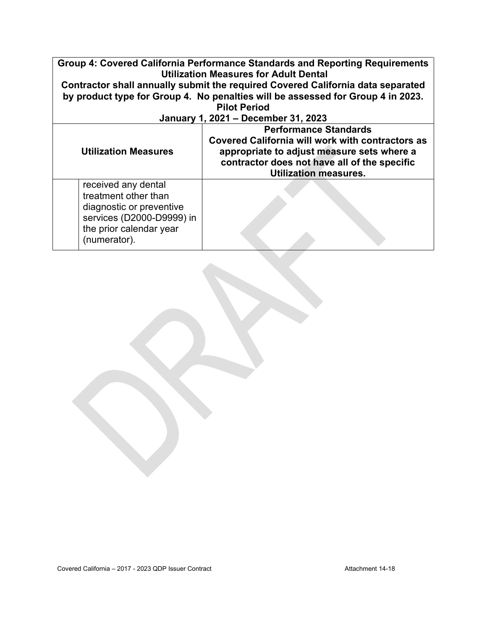| Group 4: Covered California Performance Standards and Reporting Requirements<br><b>Utilization Measures for Adult Dental</b><br>Contractor shall annually submit the required Covered California data separated |                                                                                                                                                                                                                |  |  |
|-----------------------------------------------------------------------------------------------------------------------------------------------------------------------------------------------------------------|----------------------------------------------------------------------------------------------------------------------------------------------------------------------------------------------------------------|--|--|
| by product type for Group 4. No penalties will be assessed for Group 4 in 2023.                                                                                                                                 |                                                                                                                                                                                                                |  |  |
| <b>Pilot Period</b><br>January 1, 2021 - December 31, 2023                                                                                                                                                      |                                                                                                                                                                                                                |  |  |
| <b>Utilization Measures</b>                                                                                                                                                                                     | <b>Performance Standards</b><br>Covered California will work with contractors as<br>appropriate to adjust measure sets where a<br>contractor does not have all of the specific<br><b>Utilization measures.</b> |  |  |
| received any dental<br>treatment other than<br>diagnostic or preventive<br>services (D2000-D9999) in<br>the prior calendar year<br>(numerator).                                                                 |                                                                                                                                                                                                                |  |  |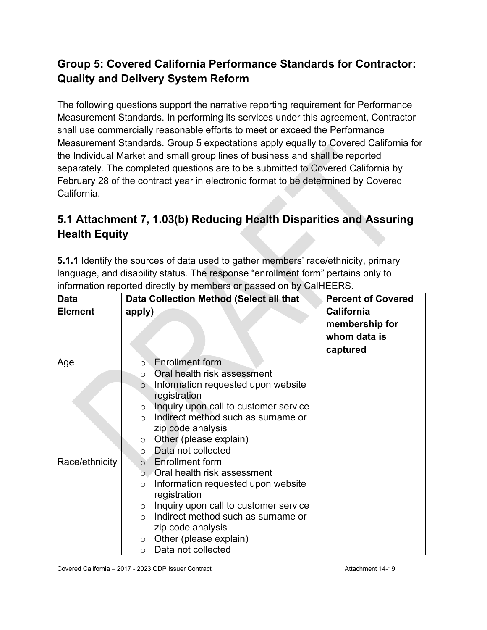#### **Group 5: Covered California Performance Standards for Contractor: Quality and Delivery System Reform**

The following questions support the narrative reporting requirement for Performance Measurement Standards. In performing its services under this agreement, Contractor shall use commercially reasonable efforts to meet or exceed the Performance Measurement Standards. Group 5 expectations apply equally to Covered California for the Individual Market and small group lines of business and shall be reported separately. The completed questions are to be submitted to Covered California by February 28 of the contract year in electronic format to be determined by Covered California.

# **5.1 Attachment 7, 1.03(b) Reducing Health Disparities and Assuring Health Equity**

**5.1.1** Identify the sources of data used to gather members' race/ethnicity, primary language, and disability status. The response "enrollment form" pertains only to information reported directly by members or passed on by CalHEERS.

| <b>Data</b><br><b>Element</b> | Data Collection Method (Select all that<br>apply)                                                                                                                                                                                                                                                                                            | <b>Percent of Covered</b><br><b>California</b><br>membership for<br>whom data is<br>captured |
|-------------------------------|----------------------------------------------------------------------------------------------------------------------------------------------------------------------------------------------------------------------------------------------------------------------------------------------------------------------------------------------|----------------------------------------------------------------------------------------------|
| Age                           | <b>Enrollment form</b><br>$\circ$<br>Oral health risk assessment<br>Information requested upon website<br>$\circ$<br>registration<br>Inquiry upon call to customer service<br>$\circ$<br>Indirect method such as surname or<br>$\Omega$<br>zip code analysis<br>Other (please explain)<br>$\circ$<br>Data not collected<br>$\circ$           |                                                                                              |
| Race/ethnicity                | <b>Enrollment form</b><br>$\Omega$<br>$\circ$ Oral health risk assessment<br>Information requested upon website<br>$\circ$<br>registration<br>Inquiry upon call to customer service<br>$\circ$<br>Indirect method such as surname or<br>$\bigcap$<br>zip code analysis<br>Other (please explain)<br>$\circ$<br>Data not collected<br>$\circ$ |                                                                                              |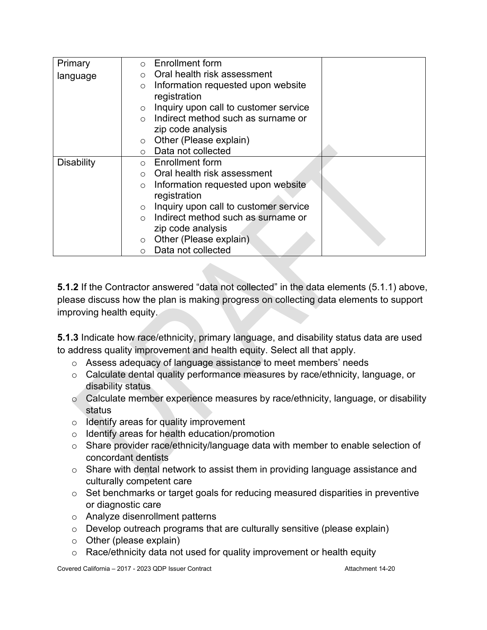| Primary           | <b>Enrollment form</b><br>$\Omega$               |
|-------------------|--------------------------------------------------|
| language          | Oral health risk assessment<br>$\bigcirc$        |
|                   | Information requested upon website<br>$\circ$    |
|                   | registration                                     |
|                   | Inquiry upon call to customer service<br>$\circ$ |
|                   | Indirect method such as surname or               |
|                   | zip code analysis                                |
|                   | Other (Please explain)<br>$\circ$                |
|                   | Data not collected<br>$\bigcirc$                 |
| <b>Disability</b> | <b>Enrollment form</b><br>$\circ$                |
|                   | Oral health risk assessment<br>$\circ$           |
|                   | Information requested upon website<br>$\circ$    |
|                   | registration                                     |
|                   | Inquiry upon call to customer service<br>$\circ$ |
|                   | Indirect method such as surname or<br>$\bigcirc$ |
|                   | zip code analysis                                |
|                   | Other (Please explain)<br>$\circ$                |
|                   | Data not collected<br>$\circ$                    |

**5.1.2** If the Contractor answered "data not collected" in the data elements (5.1.1) above, please discuss how the plan is making progress on collecting data elements to support improving health equity.

**5.1.3** Indicate how race/ethnicity, primary language, and disability status data are used to address quality improvement and health equity. Select all that apply.

- o Assess adequacy of language assistance to meet members' needs
- o Calculate dental quality performance measures by race/ethnicity, language, or disability status
- $\circ$  Calculate member experience measures by race/ethnicity, language, or disability status
- $\circ$  Identify areas for quality improvement
- o Identify areas for health education/promotion
- o Share provider race/ethnicity/language data with member to enable selection of concordant dentists
- o Share with dental network to assist them in providing language assistance and culturally competent care
- o Set benchmarks or target goals for reducing measured disparities in preventive or diagnostic care
- o Analyze disenrollment patterns
- o Develop outreach programs that are culturally sensitive (please explain)
- $\circ$  Other (please explain)
- o Race/ethnicity data not used for quality improvement or health equity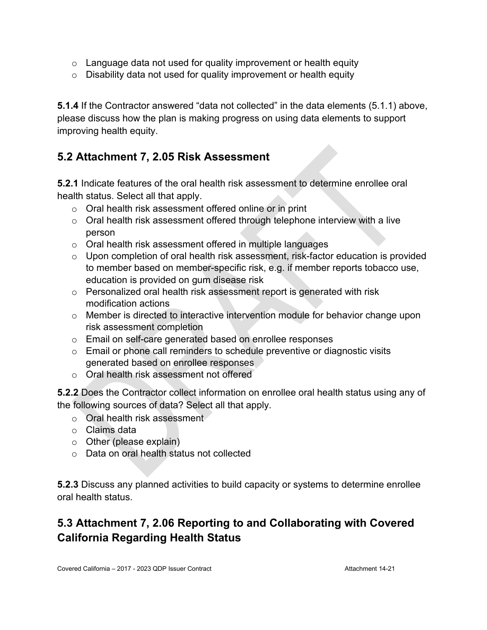- $\circ$  Language data not used for quality improvement or health equity
- $\circ$  Disability data not used for quality improvement or health equity

**5.1.4** If the Contractor answered "data not collected" in the data elements (5.1.1) above, please discuss how the plan is making progress on using data elements to support improving health equity.

#### **5.2 Attachment 7, 2.05 Risk Assessment**

**5.2.1** Indicate features of the oral health risk assessment to determine enrollee oral health status. Select all that apply.

- o Oral health risk assessment offered online or in print
- $\circ$  Oral health risk assessment offered through telephone interview with a live person
- o Oral health risk assessment offered in multiple languages
- o Upon completion of oral health risk assessment, risk-factor education is provided to member based on member-specific risk, e.g. if member reports tobacco use, education is provided on gum disease risk
- o Personalized oral health risk assessment report is generated with risk modification actions
- o Member is directed to interactive intervention module for behavior change upon risk assessment completion
- o Email on self-care generated based on enrollee responses
- $\circ$  Email or phone call reminders to schedule preventive or diagnostic visits generated based on enrollee responses
- o Oral health risk assessment not offered

**5.2.2** Does the Contractor collect information on enrollee oral health status using any of the following sources of data? Select all that apply.

- o Oral health risk assessment
- o Claims data
- o Other (please explain)
- o Data on oral health status not collected

**5.2.3** Discuss any planned activities to build capacity or systems to determine enrollee oral health status.

# **5.3 Attachment 7, 2.06 Reporting to and Collaborating with Covered California Regarding Health Status**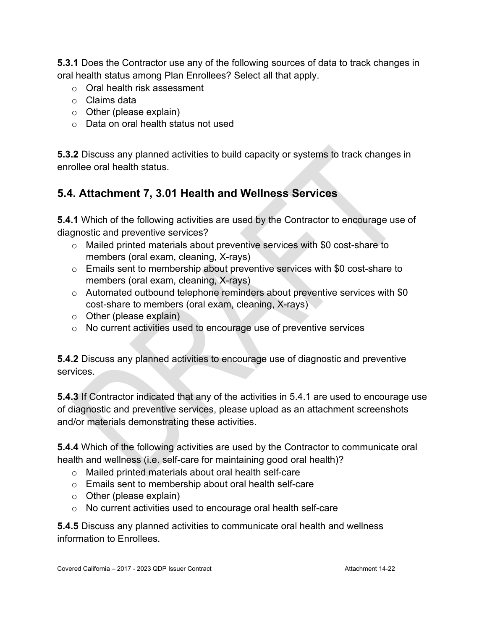**5.3.1** Does the Contractor use any of the following sources of data to track changes in oral health status among Plan Enrollees? Select all that apply.

- o Oral health risk assessment
- o Claims data
- $\circ$  Other (please explain)
- o Data on oral health status not used

**5.3.2** Discuss any planned activities to build capacity or systems to track changes in enrollee oral health status.

#### **5.4. Attachment 7, 3.01 Health and Wellness Services**

**5.4.1** Which of the following activities are used by the Contractor to encourage use of diagnostic and preventive services?

- o Mailed printed materials about preventive services with \$0 cost-share to members (oral exam, cleaning, X-rays)
- o Emails sent to membership about preventive services with \$0 cost-share to members (oral exam, cleaning, X-rays)
- $\circ$  Automated outbound telephone reminders about preventive services with \$0 cost-share to members (oral exam, cleaning, X-rays)
- $\circ$  Other (please explain)
- o No current activities used to encourage use of preventive services

**5.4.2** Discuss any planned activities to encourage use of diagnostic and preventive services.

**5.4.3** If Contractor indicated that any of the activities in 5.4.1 are used to encourage use of diagnostic and preventive services, please upload as an attachment screenshots and/or materials demonstrating these activities.

**5.4.4** Which of the following activities are used by the Contractor to communicate oral health and wellness (i.e. self-care for maintaining good oral health)?

- o Mailed printed materials about oral health self-care
- o Emails sent to membership about oral health self-care
- o Other (please explain)
- o No current activities used to encourage oral health self-care

**5.4.5** Discuss any planned activities to communicate oral health and wellness information to Enrollees.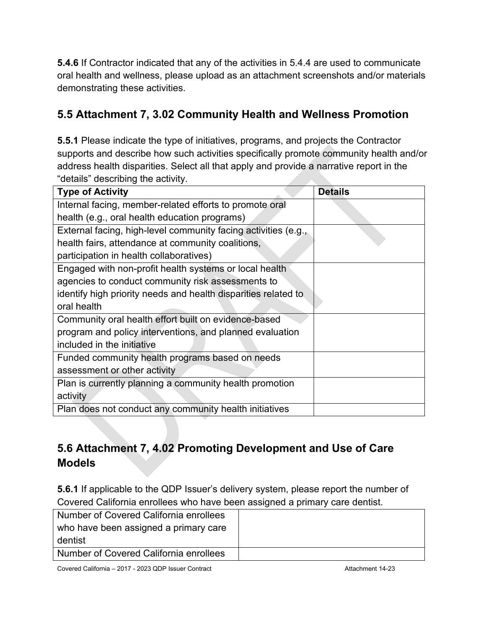**5.4.6** If Contractor indicated that any of the activities in 5.4.4 are used to communicate oral health and wellness, please upload as an attachment screenshots and/or materials demonstrating these activities.

#### **5.5 Attachment 7, 3.02 Community Health and Wellness Promotion**

**5.5.1** Please indicate the type of initiatives, programs, and projects the Contractor supports and describe how such activities specifically promote community health and/or address health disparities. Select all that apply and provide a narrative report in the "details" describing the activity.

| <b>Type of Activity</b>                                        | <b>Details</b> |
|----------------------------------------------------------------|----------------|
| Internal facing, member-related efforts to promote oral        |                |
| health (e.g., oral health education programs)                  |                |
| External facing, high-level community facing activities (e.g., |                |
| health fairs, attendance at community coalitions,              |                |
| participation in health collaboratives)                        |                |
| Engaged with non-profit health systems or local health         |                |
| agencies to conduct community risk assessments to              |                |
| identify high priority needs and health disparities related to |                |
| oral health                                                    |                |
| Community oral health effort built on evidence-based           |                |
| program and policy interventions, and planned evaluation       |                |
| included in the initiative                                     |                |
| Funded community health programs based on needs                |                |
| assessment or other activity                                   |                |
| Plan is currently planning a community health promotion        |                |
| activity                                                       |                |
| Plan does not conduct any community health initiatives         |                |

# **5.6 Attachment 7, 4.02 Promoting Development and Use of Care Models**

**5.6.1** If applicable to the QDP Issuer's delivery system, please report the number of Covered California enrollees who have been assigned a primary care dentist.

| Number of Covered California enrollees |  |
|----------------------------------------|--|
| who have been assigned a primary care  |  |
| dentist                                |  |
| Number of Covered California enrollees |  |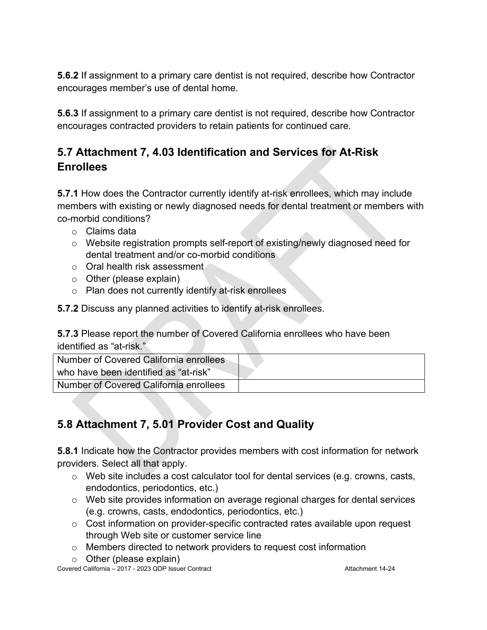**5.6.2** If assignment to a primary care dentist is not required, describe how Contractor encourages member's use of dental home.

**5.6.3** If assignment to a primary care dentist is not required, describe how Contractor encourages contracted providers to retain patients for continued care.

#### **5.7 Attachment 7, 4.03 Identification and Services for At-Risk Enrollees**

**5.7.1** How does the Contractor currently identify at-risk enrollees, which may include members with existing or newly diagnosed needs for dental treatment or members with co-morbid conditions?

- o Claims data
- o Website registration prompts self-report of existing/newly diagnosed need for dental treatment and/or co-morbid conditions
- o Oral health risk assessment
- o Other (please explain)
- o Plan does not currently identify at-risk enrollees

**5.7.2** Discuss any planned activities to identify at-risk enrollees.

**5.7.3** Please report the number of Covered California enrollees who have been identified as "at-risk."

| Number of Covered California enrollees |  |
|----------------------------------------|--|
| who have been identified as "at-risk"  |  |
| Number of Covered California enrollees |  |

# **5.8 Attachment 7, 5.01 Provider Cost and Quality**

**5.8.1** Indicate how the Contractor provides members with cost information for network providers. Select all that apply.

- o Web site includes a cost calculator tool for dental services (e.g. crowns, casts, endodontics, periodontics, etc.)
- o Web site provides information on average regional charges for dental services (e.g. crowns, casts, endodontics, periodontics, etc.)
- $\circ$  Cost information on provider-specific contracted rates available upon request through Web site or customer service line
- o Members directed to network providers to request cost information
- $\circ$  Other (please explain)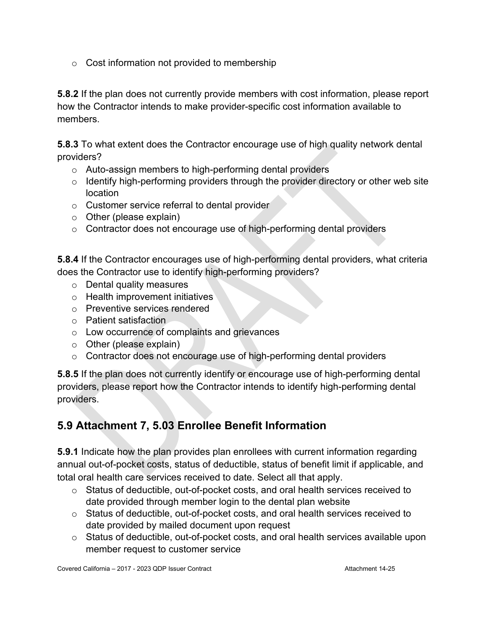$\circ$  Cost information not provided to membership

**5.8.2** If the plan does not currently provide members with cost information, please report how the Contractor intends to make provider-specific cost information available to members.

**5.8.3** To what extent does the Contractor encourage use of high quality network dental providers?

- o Auto-assign members to high-performing dental providers
- $\circ$  Identify high-performing providers through the provider directory or other web site location
- o Customer service referral to dental provider
- o Other (please explain)
- o Contractor does not encourage use of high-performing dental providers

**5.8.4** If the Contractor encourages use of high-performing dental providers, what criteria does the Contractor use to identify high-performing providers?

- o Dental quality measures
- o Health improvement initiatives
- o Preventive services rendered
- o Patient satisfaction
- o Low occurrence of complaints and grievances
- o Other (please explain)
- o Contractor does not encourage use of high-performing dental providers

**5.8.5** If the plan does not currently identify or encourage use of high-performing dental providers, please report how the Contractor intends to identify high-performing dental providers.

# **5.9 Attachment 7, 5.03 Enrollee Benefit Information**

**5.9.1** Indicate how the plan provides plan enrollees with current information regarding annual out-of-pocket costs, status of deductible, status of benefit limit if applicable, and total oral health care services received to date. Select all that apply.

- o Status of deductible, out-of-pocket costs, and oral health services received to date provided through member login to the dental plan website
- o Status of deductible, out-of-pocket costs, and oral health services received to date provided by mailed document upon request
- o Status of deductible, out-of-pocket costs, and oral health services available upon member request to customer service